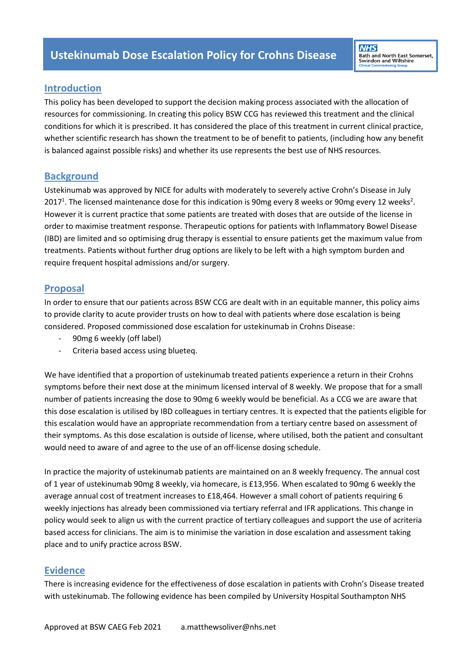# **Introduction**

This policy has been developed to support the decision making process associated with the allocation of resources for commissioning. In creating this policy BSW CCG has reviewed this treatment and the clinical conditions for which it is prescribed. It has considered the place of this treatment in current clinical practice, whether scientific research has shown the treatment to be of benefit to patients, (including how any benefit is balanced against possible risks) and whether its use represents the best use of NHS resources.

# **Background**

Ustekinumab was approved by NICE for adults with moderately to severely active Crohn's Disease in July 2017<sup>1</sup>. The licensed maintenance dose for this indication is 90mg every 8 weeks or 90mg every 12 weeks<sup>2</sup>. However it is current practice that some patients are treated with doses that are outside of the license in order to maximise treatment response. Therapeutic options for patients with Inflammatory Bowel Disease (IBD) are limited and so optimising drug therapy is essential to ensure patients get the maximum value from treatments. Patients without further drug options are likely to be left with a high symptom burden and require frequent hospital admissions and/or surgery.

# **Proposal**

In order to ensure that our patients across BSW CCG are dealt with in an equitable manner, this policy aims to provide clarity to acute provider trusts on how to deal with patients where dose escalation is being considered. Proposed commissioned dose escalation for ustekinumab in Crohns Disease:

- 90mg 6 weekly (off label)
- Criteria based access using blueteq.

We have identified that a proportion of ustekinumab treated patients experience a return in their Crohns symptoms before their next dose at the minimum licensed interval of 8 weekly. We propose that for a small number of patients increasing the dose to 90mg 6 weekly would be beneficial. As a CCG we are aware that this dose escalation is utilised by IBD colleagues in tertiary centres. It is expected that the patients eligible for this escalation would have an appropriate recommendation from a tertiary centre based on assessment of their symptoms. As this dose escalation is outside of license, where utilised, both the patient and consultant would need to aware of and agree to the use of an off-license dosing schedule.

In practice the majority of ustekinumab patients are maintained on an 8 weekly frequency. The annual cost of 1 year of ustekinumab 90mg 8 weekly, via homecare, is £13,956. When escalated to 90mg 6 weekly the average annual cost of treatment increases to £18,464. However a small cohort of patients requiring 6 weekly injections has already been commissioned via tertiary referral and IFR applications. This change in policy would seek to align us with the current practice of tertiary colleagues and support the use of acriteria based access for clinicians. The aim is to minimise the variation in dose escalation and assessment taking place and to unify practice across BSW.

# **Evidence**

There is increasing evidence for the effectiveness of dose escalation in patients with Crohn's Disease treated with ustekinumab. The following evidence has been compiled by University Hospital Southampton NHS